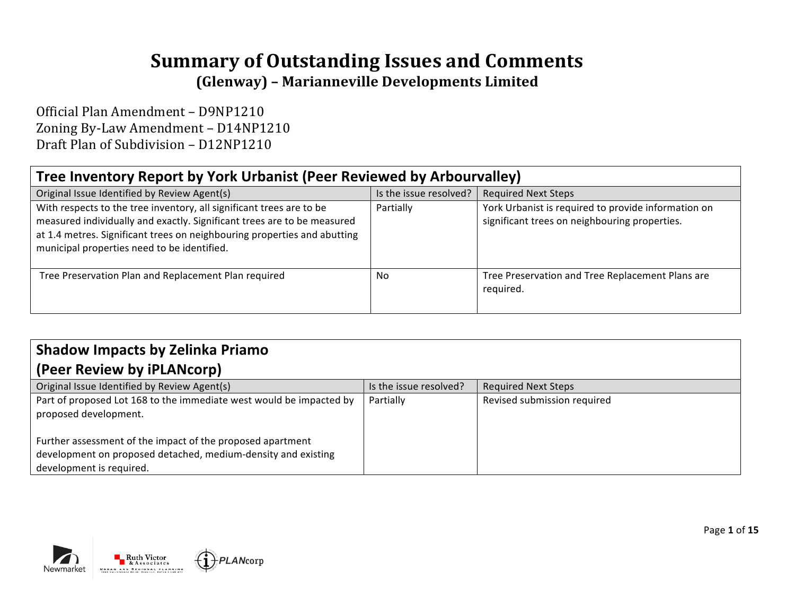# **Summary of Outstanding Issues and Comments (Glenway) – Marianneville Developments Limited**

Official Plan Amendment - D9NP1210 Zoning By-Law Amendment - D14NP1210 Draft Plan of Subdivision - D12NP1210

## **Tree Inventory Report by York Urbanist (Peer Reviewed by Arbourvalley)**

| Original Issue Identified by Review Agent(s)                                                                                                                                                                                                                               | Is the issue resolved? | <b>Required Next Steps</b>                                                                           |
|----------------------------------------------------------------------------------------------------------------------------------------------------------------------------------------------------------------------------------------------------------------------------|------------------------|------------------------------------------------------------------------------------------------------|
| With respects to the tree inventory, all significant trees are to be<br>measured individually and exactly. Significant trees are to be measured<br>at 1.4 metres. Significant trees on neighbouring properties and abutting<br>municipal properties need to be identified. | Partially              | York Urbanist is required to provide information on<br>significant trees on neighbouring properties. |
| Tree Preservation Plan and Replacement Plan required                                                                                                                                                                                                                       | No                     | Tree Preservation and Tree Replacement Plans are<br>required.                                        |

## **Shadow Impacts by Zelinka Priamo**

#### **(Peer Review by iPLANcorp)**

| Original Issue Identified by Review Agent(s)                                                                                                            | Is the issue resolved? | <b>Required Next Steps</b>  |
|---------------------------------------------------------------------------------------------------------------------------------------------------------|------------------------|-----------------------------|
| Part of proposed Lot 168 to the immediate west would be impacted by<br>proposed development.                                                            | Partially              | Revised submission required |
| Further assessment of the impact of the proposed apartment<br>development on proposed detached, medium-density and existing<br>development is required. |                        |                             |



Page **1** of **15**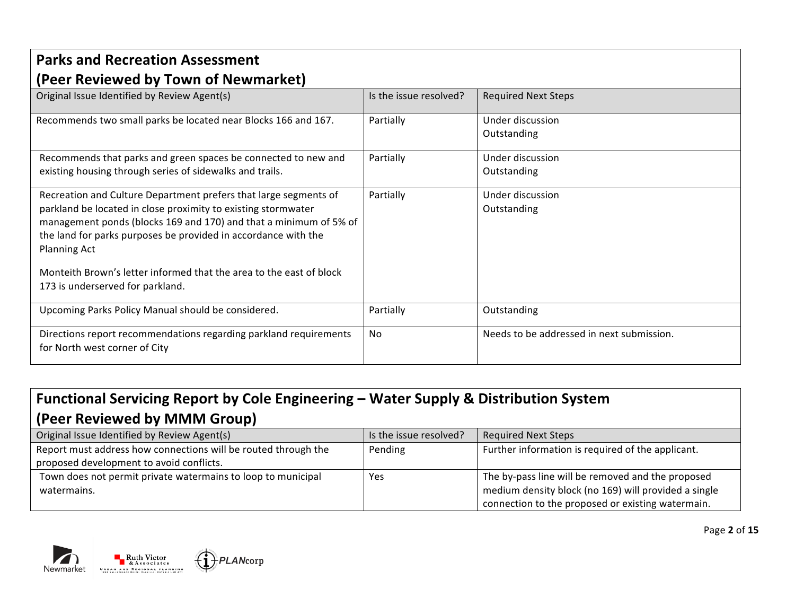| <b>Parks and Recreation Assessment</b>                                                                                              |                        |                                           |  |
|-------------------------------------------------------------------------------------------------------------------------------------|------------------------|-------------------------------------------|--|
| (Peer Reviewed by Town of Newmarket)                                                                                                |                        |                                           |  |
| Original Issue Identified by Review Agent(s)                                                                                        | Is the issue resolved? | <b>Required Next Steps</b>                |  |
| Recommends two small parks be located near Blocks 166 and 167.                                                                      | Partially              | Under discussion                          |  |
|                                                                                                                                     |                        | Outstanding                               |  |
| Recommends that parks and green spaces be connected to new and                                                                      | Partially              | Under discussion                          |  |
| existing housing through series of sidewalks and trails.                                                                            |                        | Outstanding                               |  |
| Recreation and Culture Department prefers that large segments of                                                                    | Partially              | Under discussion                          |  |
| parkland be located in close proximity to existing stormwater                                                                       |                        | Outstanding                               |  |
| management ponds (blocks 169 and 170) and that a minimum of 5% of<br>the land for parks purposes be provided in accordance with the |                        |                                           |  |
| <b>Planning Act</b>                                                                                                                 |                        |                                           |  |
|                                                                                                                                     |                        |                                           |  |
| Monteith Brown's letter informed that the area to the east of block                                                                 |                        |                                           |  |
| 173 is underserved for parkland.                                                                                                    |                        |                                           |  |
| Upcoming Parks Policy Manual should be considered.                                                                                  | Partially              | Outstanding                               |  |
| Directions report recommendations regarding parkland requirements                                                                   | No.                    | Needs to be addressed in next submission. |  |
| for North west corner of City                                                                                                       |                        |                                           |  |

# Functional Servicing Report by Cole Engineering - Water Supply & Distribution System **(Peer Reviewed by MMM Group)**

| Original Issue Identified by Review Agent(s)                   | Is the issue resolved? | <b>Required Next Steps</b>                           |
|----------------------------------------------------------------|------------------------|------------------------------------------------------|
| Report must address how connections will be routed through the | Pending                | Further information is required of the applicant.    |
| proposed development to avoid conflicts.                       |                        |                                                      |
| Town does not permit private watermains to loop to municipal   | Yes                    | The by-pass line will be removed and the proposed    |
| watermains.                                                    |                        | medium density block (no 169) will provided a single |
|                                                                |                        | connection to the proposed or existing watermain.    |





Page **2** of **15**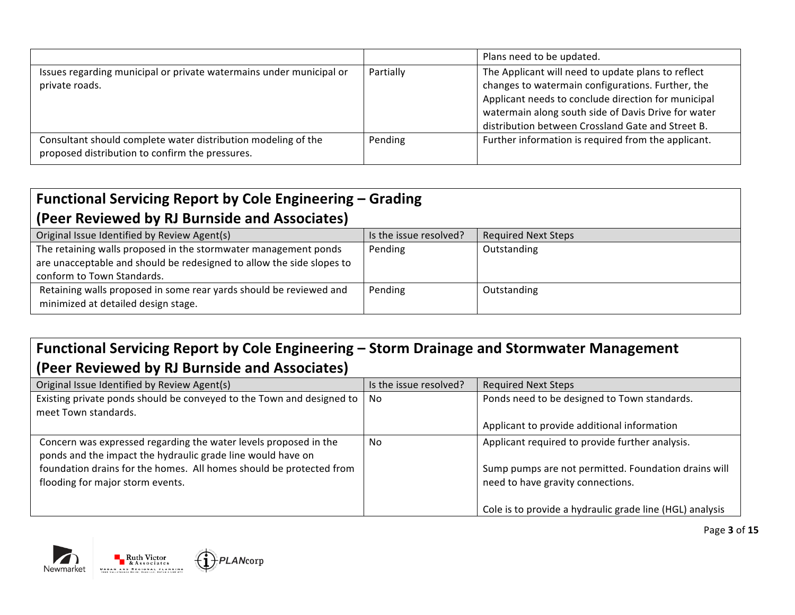|                                                                                                                  |           | Plans need to be updated.                                                                                                                                                                                                                                                  |
|------------------------------------------------------------------------------------------------------------------|-----------|----------------------------------------------------------------------------------------------------------------------------------------------------------------------------------------------------------------------------------------------------------------------------|
| Issues regarding municipal or private watermains under municipal or<br>private roads.                            | Partially | The Applicant will need to update plans to reflect<br>changes to watermain configurations. Further, the<br>Applicant needs to conclude direction for municipal<br>watermain along south side of Davis Drive for water<br>distribution between Crossland Gate and Street B. |
| Consultant should complete water distribution modeling of the<br>proposed distribution to confirm the pressures. | Pending   | Further information is required from the applicant.                                                                                                                                                                                                                        |

#### Functional Servicing Report by Cole Engineering - Grading **(Peer Reviewed by RJ Burnside and Associates)**

| IT CO. INCRIC MOON BY THE DUITING ON MEASURING TO                                                                                        |                        |                            |
|------------------------------------------------------------------------------------------------------------------------------------------|------------------------|----------------------------|
| Original Issue Identified by Review Agent(s)                                                                                             | Is the issue resolved? | <b>Required Next Steps</b> |
| The retaining walls proposed in the stormwater management ponds<br>are unacceptable and should be redesigned to allow the side slopes to | Pending                | Outstanding                |
| conform to Town Standards.                                                                                                               |                        |                            |
| Retaining walls proposed in some rear yards should be reviewed and<br>minimized at detailed design stage.                                | Pending                | Outstanding                |

### Functional Servicing Report by Cole Engineering - Storm Drainage and Stormwater Management **(Peer Reviewed by RJ Burnside and Associates)**

| Original Issue Identified by Review Agent(s)                          | Is the issue resolved? | <b>Required Next Steps</b>                               |
|-----------------------------------------------------------------------|------------------------|----------------------------------------------------------|
| Existing private ponds should be conveyed to the Town and designed to | - No                   | Ponds need to be designed to Town standards.             |
| meet Town standards.                                                  |                        |                                                          |
|                                                                       |                        | Applicant to provide additional information              |
| Concern was expressed regarding the water levels proposed in the      | No                     | Applicant required to provide further analysis.          |
| ponds and the impact the hydraulic grade line would have on           |                        |                                                          |
| foundation drains for the homes. All homes should be protected from   |                        | Sump pumps are not permitted. Foundation drains will     |
| flooding for major storm events.                                      |                        | need to have gravity connections.                        |
|                                                                       |                        |                                                          |
|                                                                       |                        | Cole is to provide a hydraulic grade line (HGL) analysis |



**PLANcorp** 

Page **3** of **15**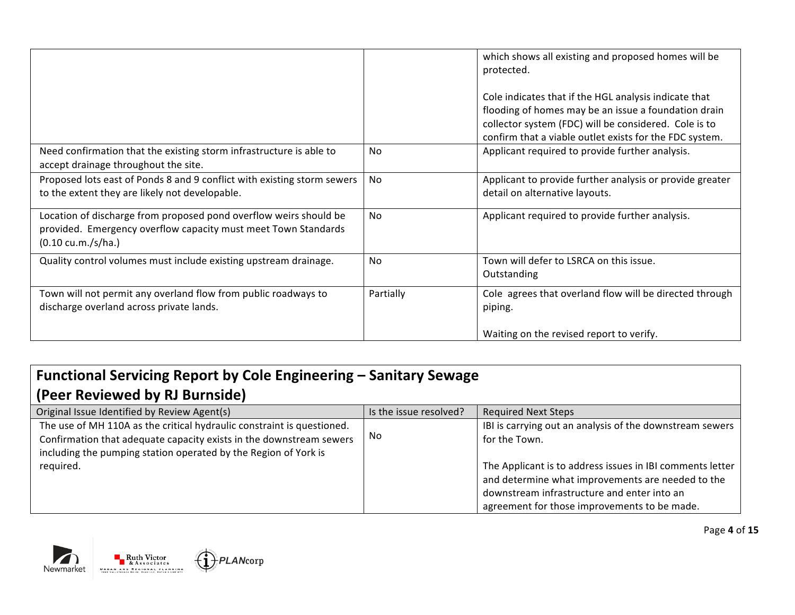|                                                                                                                                                                            |                | which shows all existing and proposed homes will be<br>protected.<br>Cole indicates that if the HGL analysis indicate that<br>flooding of homes may be an issue a foundation drain<br>collector system (FDC) will be considered. Cole is to<br>confirm that a viable outlet exists for the FDC system. |
|----------------------------------------------------------------------------------------------------------------------------------------------------------------------------|----------------|--------------------------------------------------------------------------------------------------------------------------------------------------------------------------------------------------------------------------------------------------------------------------------------------------------|
| Need confirmation that the existing storm infrastructure is able to<br>accept drainage throughout the site.                                                                | <b>No</b>      | Applicant required to provide further analysis.                                                                                                                                                                                                                                                        |
| Proposed lots east of Ponds 8 and 9 conflict with existing storm sewers<br>to the extent they are likely not developable.                                                  | No             | Applicant to provide further analysis or provide greater<br>detail on alternative layouts.                                                                                                                                                                                                             |
| Location of discharge from proposed pond overflow weirs should be<br>provided. Emergency overflow capacity must meet Town Standards<br>$(0.10 \text{ cu.m.}/s/\text{ha.})$ | N <sub>0</sub> | Applicant required to provide further analysis.                                                                                                                                                                                                                                                        |
| Quality control volumes must include existing upstream drainage.                                                                                                           | No             | Town will defer to LSRCA on this issue.<br>Outstanding                                                                                                                                                                                                                                                 |
| Town will not permit any overland flow from public roadways to<br>discharge overland across private lands.                                                                 | Partially      | Cole agrees that overland flow will be directed through<br>piping.<br>Waiting on the revised report to verify.                                                                                                                                                                                         |

| Functional Servicing Report by Cole Engineering – Sanitary Sewage                                                                                                                                                |                        |                                                                                                                                                                                                               |  |
|------------------------------------------------------------------------------------------------------------------------------------------------------------------------------------------------------------------|------------------------|---------------------------------------------------------------------------------------------------------------------------------------------------------------------------------------------------------------|--|
| (Peer Reviewed by RJ Burnside)                                                                                                                                                                                   |                        |                                                                                                                                                                                                               |  |
| Original Issue Identified by Review Agent(s)                                                                                                                                                                     | Is the issue resolved? | <b>Required Next Steps</b>                                                                                                                                                                                    |  |
| The use of MH 110A as the critical hydraulic constraint is questioned.<br>Confirmation that adequate capacity exists in the downstream sewers<br>including the pumping station operated by the Region of York is | No                     | IBI is carrying out an analysis of the downstream sewers<br>for the Town.                                                                                                                                     |  |
| required.                                                                                                                                                                                                        |                        | The Applicant is to address issues in IBI comments letter<br>and determine what improvements are needed to the<br>downstream infrastructure and enter into an<br>agreement for those improvements to be made. |  |



D PLANCOTP

Page **4** of **15**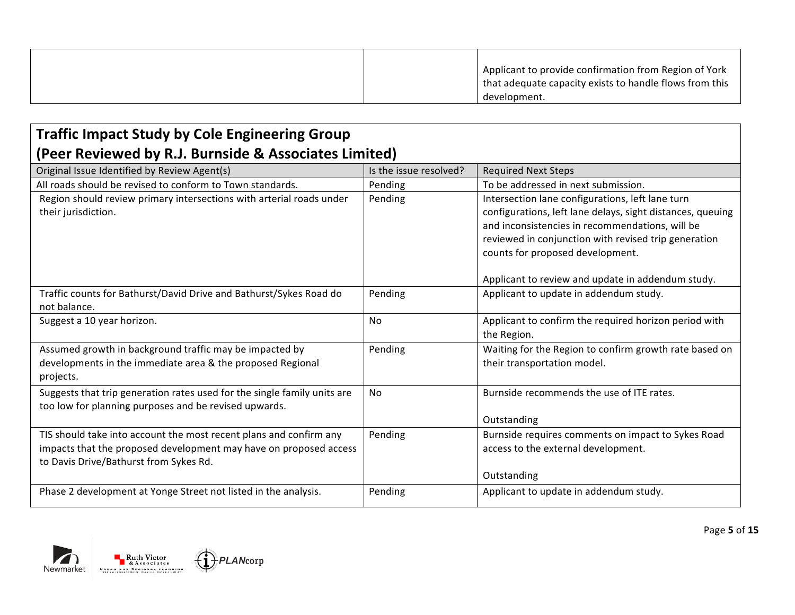|  | Applicant to provide confirmation from Region of York   |
|--|---------------------------------------------------------|
|  | that adequate capacity exists to handle flows from this |
|  | development.                                            |

### **Traffic Impact Study by Cole Engineering Group (Peer Reviewed by R.J. Burnside & Associates Limited)**

| Original Issue Identified by Review Agent(s)                             | Is the issue resolved? | <b>Required Next Steps</b>                                 |  |
|--------------------------------------------------------------------------|------------------------|------------------------------------------------------------|--|
| All roads should be revised to conform to Town standards.                | Pending                | To be addressed in next submission.                        |  |
| Region should review primary intersections with arterial roads under     | Pending                | Intersection lane configurations, left lane turn           |  |
| their jurisdiction.                                                      |                        | configurations, left lane delays, sight distances, queuing |  |
|                                                                          |                        | and inconsistencies in recommendations, will be            |  |
|                                                                          |                        | reviewed in conjunction with revised trip generation       |  |
|                                                                          |                        | counts for proposed development.                           |  |
|                                                                          |                        |                                                            |  |
|                                                                          |                        | Applicant to review and update in addendum study.          |  |
| Traffic counts for Bathurst/David Drive and Bathurst/Sykes Road do       | Pending                | Applicant to update in addendum study.                     |  |
| not balance.                                                             |                        |                                                            |  |
| Suggest a 10 year horizon.                                               | No                     | Applicant to confirm the required horizon period with      |  |
|                                                                          |                        | the Region.                                                |  |
| Assumed growth in background traffic may be impacted by                  | Pending                | Waiting for the Region to confirm growth rate based on     |  |
| developments in the immediate area & the proposed Regional               |                        | their transportation model.                                |  |
| projects.                                                                |                        |                                                            |  |
| Suggests that trip generation rates used for the single family units are | No                     | Burnside recommends the use of ITE rates.                  |  |
| too low for planning purposes and be revised upwards.                    |                        |                                                            |  |
|                                                                          |                        | Outstanding                                                |  |
| TIS should take into account the most recent plans and confirm any       | Pending                | Burnside requires comments on impact to Sykes Road         |  |
| impacts that the proposed development may have on proposed access        |                        | access to the external development.                        |  |
| to Davis Drive/Bathurst from Sykes Rd.                                   |                        |                                                            |  |
|                                                                          |                        | Outstanding                                                |  |
| Phase 2 development at Yonge Street not listed in the analysis.          | Pending                | Applicant to update in addendum study.                     |  |
|                                                                          |                        |                                                            |  |

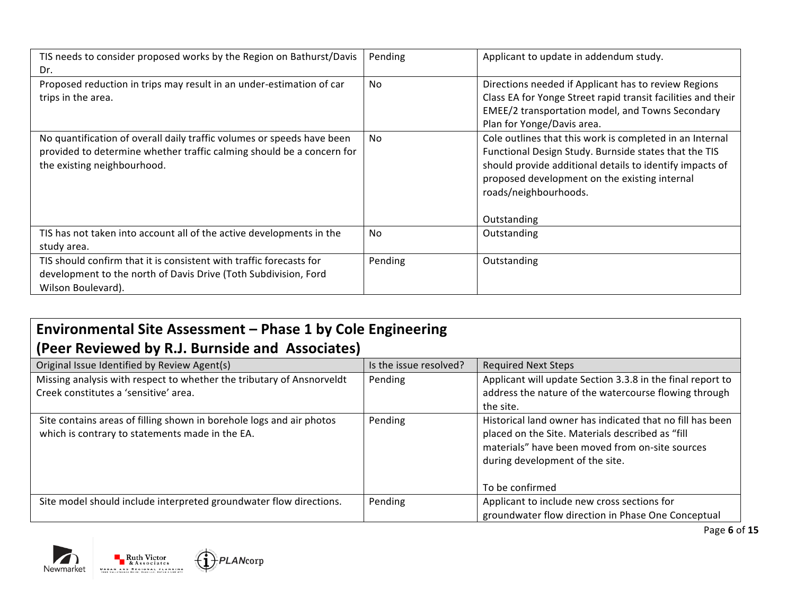| TIS needs to consider proposed works by the Region on Bathurst/Davis<br>Dr.                                                                                                    | Pending | Applicant to update in addendum study.                                                                                                                                                                                                                                 |
|--------------------------------------------------------------------------------------------------------------------------------------------------------------------------------|---------|------------------------------------------------------------------------------------------------------------------------------------------------------------------------------------------------------------------------------------------------------------------------|
| Proposed reduction in trips may result in an under-estimation of car<br>trips in the area.                                                                                     | No      | Directions needed if Applicant has to review Regions<br>Class EA for Yonge Street rapid transit facilities and their<br>EMEE/2 transportation model, and Towns Secondary<br>Plan for Yonge/Davis area.                                                                 |
| No quantification of overall daily traffic volumes or speeds have been<br>provided to determine whether traffic calming should be a concern for<br>the existing neighbourhood. | No.     | Cole outlines that this work is completed in an Internal<br>Functional Design Study. Burnside states that the TIS<br>should provide additional details to identify impacts of<br>proposed development on the existing internal<br>roads/neighbourhoods.<br>Outstanding |
| TIS has not taken into account all of the active developments in the<br>study area.                                                                                            | No.     | Outstanding                                                                                                                                                                                                                                                            |
| TIS should confirm that it is consistent with traffic forecasts for<br>development to the north of Davis Drive (Toth Subdivision, Ford<br>Wilson Boulevard).                   | Pending | Outstanding                                                                                                                                                                                                                                                            |

## **Environmental Site Assessment - Phase 1 by Cole Engineering (Peer Reviewed by R.J. Burnside and Associates)**

| Original Issue Identified by Review Agent(s)                                                                            | Is the issue resolved? | <b>Required Next Steps</b>                                                                                                                                                                          |
|-------------------------------------------------------------------------------------------------------------------------|------------------------|-----------------------------------------------------------------------------------------------------------------------------------------------------------------------------------------------------|
| Missing analysis with respect to whether the tributary of Ansnorveldt                                                   | Pending                | Applicant will update Section 3.3.8 in the final report to                                                                                                                                          |
| Creek constitutes a 'sensitive' area.                                                                                   |                        | address the nature of the watercourse flowing through                                                                                                                                               |
|                                                                                                                         |                        | the site.                                                                                                                                                                                           |
| Site contains areas of filling shown in borehole logs and air photos<br>which is contrary to statements made in the EA. | Pending                | Historical land owner has indicated that no fill has been<br>placed on the Site. Materials described as "fill<br>materials" have been moved from on-site sources<br>during development of the site. |
|                                                                                                                         |                        | To be confirmed                                                                                                                                                                                     |
| Site model should include interpreted groundwater flow directions.                                                      | Pending                | Applicant to include new cross sections for                                                                                                                                                         |
|                                                                                                                         |                        | groundwater flow direction in Phase One Conceptual                                                                                                                                                  |





Page **6** of **15**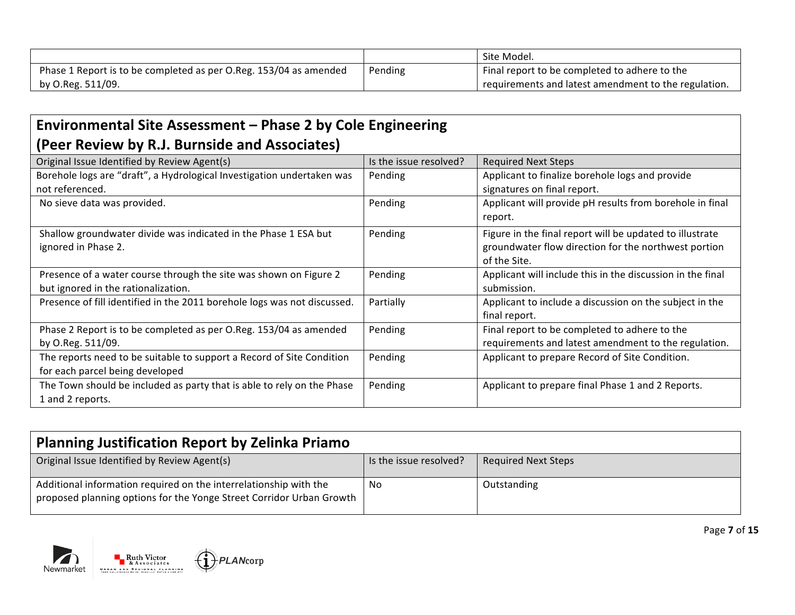|                                                                   |         | Site Model.                                          |
|-------------------------------------------------------------------|---------|------------------------------------------------------|
| Phase 1 Report is to be completed as per O.Reg. 153/04 as amended | Pending | Final report to be completed to adhere to the        |
| by O.Reg. 511/09.                                                 |         | requirements and latest amendment to the regulation. |

#### Environmental Site Assessment - Phase 2 by Cole Engineering **(Peer Review by R.J. Burnside and Associates)**

| Is the issue resolved? | <b>Required Next Steps</b>                                 |
|------------------------|------------------------------------------------------------|
| Pending                | Applicant to finalize borehole logs and provide            |
|                        | signatures on final report.                                |
| Pending                | Applicant will provide pH results from borehole in final   |
|                        | report.                                                    |
| Pending                | Figure in the final report will be updated to illustrate   |
|                        | groundwater flow direction for the northwest portion       |
|                        | of the Site.                                               |
| Pending                | Applicant will include this in the discussion in the final |
|                        | submission.                                                |
| Partially              | Applicant to include a discussion on the subject in the    |
|                        | final report.                                              |
| Pending                | Final report to be completed to adhere to the              |
|                        | requirements and latest amendment to the regulation.       |
| Pending                | Applicant to prepare Record of Site Condition.             |
|                        |                                                            |
| Pending                | Applicant to prepare final Phase 1 and 2 Reports.          |
|                        |                                                            |
|                        |                                                            |

| <b>Planning Justification Report by Zelinka Priamo</b>                                                                                    |                        |                            |
|-------------------------------------------------------------------------------------------------------------------------------------------|------------------------|----------------------------|
| Original Issue Identified by Review Agent(s)                                                                                              | Is the issue resolved? | <b>Required Next Steps</b> |
| Additional information required on the interrelationship with the<br>proposed planning options for the Yonge Street Corridor Urban Growth | No                     | Outstanding                |



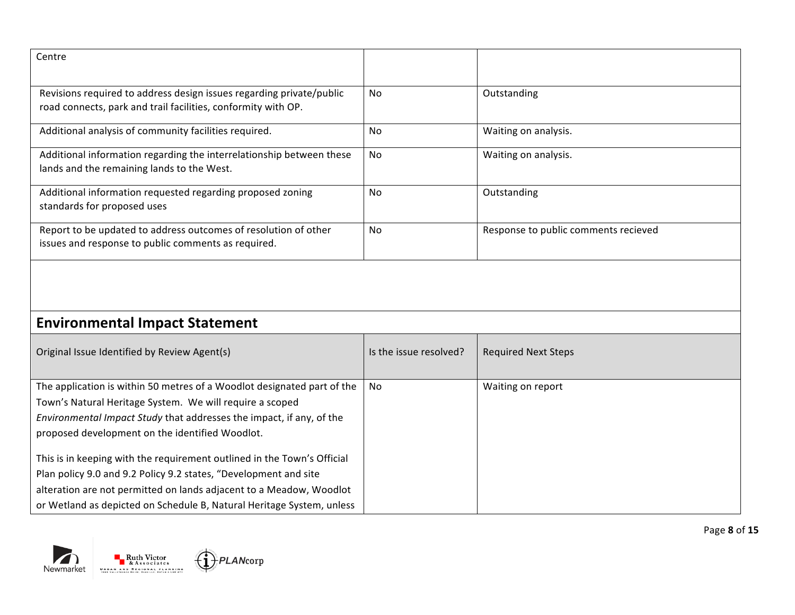| Centre                                                                                                                                |                |                                      |
|---------------------------------------------------------------------------------------------------------------------------------------|----------------|--------------------------------------|
| Revisions required to address design issues regarding private/public<br>road connects, park and trail facilities, conformity with OP. | N <sub>0</sub> | Outstanding                          |
| Additional analysis of community facilities required.                                                                                 | No             | Waiting on analysis.                 |
| Additional information regarding the interrelationship between these<br>lands and the remaining lands to the West.                    | <b>No</b>      | Waiting on analysis.                 |
| Additional information requested regarding proposed zoning<br>standards for proposed uses                                             | No             | Outstanding                          |
| Report to be updated to address outcomes of resolution of other<br>issues and response to public comments as required.                | <b>No</b>      | Response to public comments recieved |

# **Environmental Impact Statement**

| Original Issue Identified by Review Agent(s)                            | Is the issue resolved? | <b>Required Next Steps</b> |
|-------------------------------------------------------------------------|------------------------|----------------------------|
| The application is within 50 metres of a Woodlot designated part of the | No                     | Waiting on report          |
| Town's Natural Heritage System. We will require a scoped                |                        |                            |
| Environmental Impact Study that addresses the impact, if any, of the    |                        |                            |
| proposed development on the identified Woodlot.                         |                        |                            |
| This is in keeping with the requirement outlined in the Town's Official |                        |                            |
| Plan policy 9.0 and 9.2 Policy 9.2 states, "Development and site        |                        |                            |
| alteration are not permitted on lands adjacent to a Meadow, Woodlot     |                        |                            |
| or Wetland as depicted on Schedule B, Natural Heritage System, unless   |                        |                            |

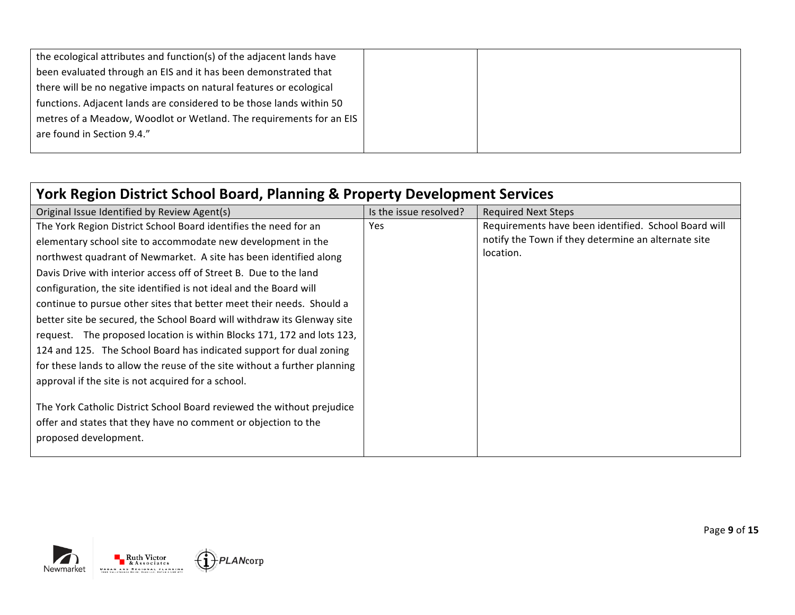| the ecological attributes and function(s) of the adjacent lands have |  |
|----------------------------------------------------------------------|--|
| been evaluated through an EIS and it has been demonstrated that      |  |
| there will be no negative impacts on natural features or ecological  |  |
| functions. Adjacent lands are considered to be those lands within 50 |  |
| metres of a Meadow, Woodlot or Wetland. The requirements for an EIS  |  |
| are found in Section 9.4."                                           |  |
|                                                                      |  |

| York Region District School Board, Planning & Property Development Services |                        |                                                      |
|-----------------------------------------------------------------------------|------------------------|------------------------------------------------------|
| Original Issue Identified by Review Agent(s)                                | Is the issue resolved? | <b>Required Next Steps</b>                           |
| The York Region District School Board identifies the need for an            | <b>Yes</b>             | Requirements have been identified. School Board will |
| elementary school site to accommodate new development in the                |                        | notify the Town if they determine an alternate site  |
| northwest quadrant of Newmarket. A site has been identified along           |                        | location.                                            |
| Davis Drive with interior access off of Street B. Due to the land           |                        |                                                      |
| configuration, the site identified is not ideal and the Board will          |                        |                                                      |
| continue to pursue other sites that better meet their needs. Should a       |                        |                                                      |
| better site be secured, the School Board will withdraw its Glenway site     |                        |                                                      |
| request. The proposed location is within Blocks 171, 172 and lots 123,      |                        |                                                      |
| 124 and 125. The School Board has indicated support for dual zoning         |                        |                                                      |
| for these lands to allow the reuse of the site without a further planning   |                        |                                                      |
| approval if the site is not acquired for a school.                          |                        |                                                      |
| The York Catholic District School Board reviewed the without prejudice      |                        |                                                      |
| offer and states that they have no comment or objection to the              |                        |                                                      |
| proposed development.                                                       |                        |                                                      |
|                                                                             |                        |                                                      |



Page **9** of **15**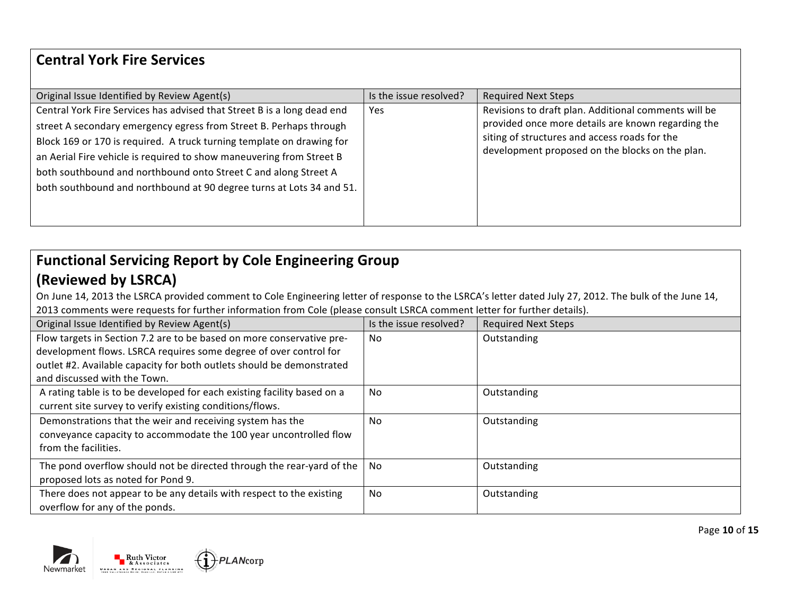#### **Central York Fire Services**

| Original Issue Identified by Review Agent(s)                            | Is the issue resolved? | <b>Required Next Steps</b>                           |
|-------------------------------------------------------------------------|------------------------|------------------------------------------------------|
| Central York Fire Services has advised that Street B is a long dead end | Yes                    | Revisions to draft plan. Additional comments will be |
| street A secondary emergency egress from Street B. Perhaps through      |                        | provided once more details are known regarding the   |
| Block 169 or 170 is required. A truck turning template on drawing for   |                        | siting of structures and access roads for the        |
| an Aerial Fire vehicle is required to show maneuvering from Street B    |                        | development proposed on the blocks on the plan.      |
| both southbound and northbound onto Street C and along Street A         |                        |                                                      |
| both southbound and northbound at 90 degree turns at Lots 34 and 51.    |                        |                                                      |
|                                                                         |                        |                                                      |
|                                                                         |                        |                                                      |

## Functional Servicing Report by Cole Engineering Group **(Reviewed by LSRCA)**

On June 14, 2013 the LSRCA provided comment to Cole Engineering letter of response to the LSRCA's letter dated July 27, 2012. The bulk of the June 14, 2013 comments were requests for further information from Cole (please consult LSRCA comment letter for further details).

| Original Issue Identified by Review Agent(s)                            | Is the issue resolved? | <b>Required Next Steps</b> |
|-------------------------------------------------------------------------|------------------------|----------------------------|
| Flow targets in Section 7.2 are to be based on more conservative pre-   | <b>No</b>              | Outstanding                |
| development flows. LSRCA requires some degree of over control for       |                        |                            |
| outlet #2. Available capacity for both outlets should be demonstrated   |                        |                            |
| and discussed with the Town.                                            |                        |                            |
| A rating table is to be developed for each existing facility based on a | <b>No</b>              | Outstanding                |
| current site survey to verify existing conditions/flows.                |                        |                            |
| Demonstrations that the weir and receiving system has the               | N <sub>0</sub>         | Outstanding                |
| conveyance capacity to accommodate the 100 year uncontrolled flow       |                        |                            |
| from the facilities.                                                    |                        |                            |
| The pond overflow should not be directed through the rear-yard of the   | No.                    | Outstanding                |
| proposed lots as noted for Pond 9.                                      |                        |                            |
| There does not appear to be any details with respect to the existing    | <b>No</b>              | Outstanding                |
| overflow for any of the ponds.                                          |                        |                            |



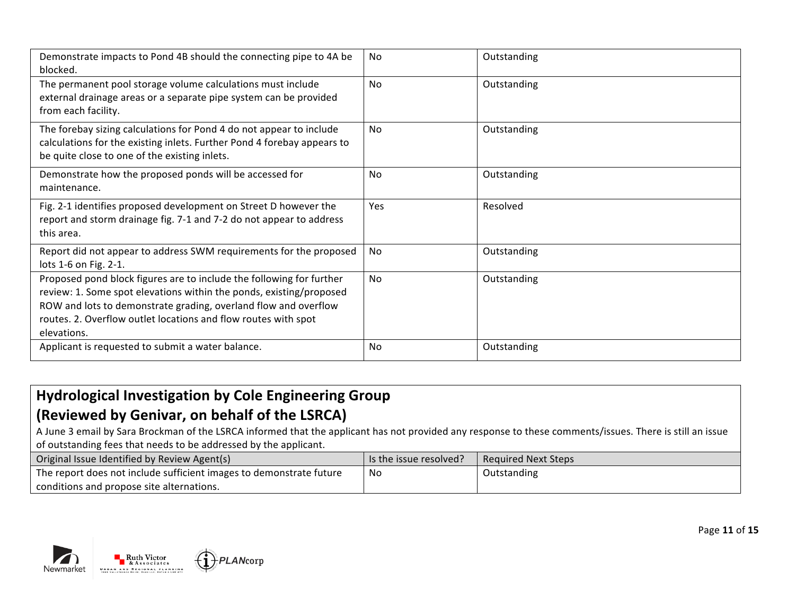| Demonstrate impacts to Pond 4B should the connecting pipe to 4A be<br>blocked.                                                                                                                                                                                                                  | No.            | Outstanding |
|-------------------------------------------------------------------------------------------------------------------------------------------------------------------------------------------------------------------------------------------------------------------------------------------------|----------------|-------------|
| The permanent pool storage volume calculations must include<br>external drainage areas or a separate pipe system can be provided<br>from each facility.                                                                                                                                         | N <sub>0</sub> | Outstanding |
| The forebay sizing calculations for Pond 4 do not appear to include<br>calculations for the existing inlets. Further Pond 4 forebay appears to<br>be quite close to one of the existing inlets.                                                                                                 | No.            | Outstanding |
| Demonstrate how the proposed ponds will be accessed for<br>maintenance.                                                                                                                                                                                                                         | No             | Outstanding |
| Fig. 2-1 identifies proposed development on Street D however the<br>report and storm drainage fig. 7-1 and 7-2 do not appear to address<br>this area.                                                                                                                                           | Yes            | Resolved    |
| Report did not appear to address SWM requirements for the proposed<br>lots 1-6 on Fig. 2-1.                                                                                                                                                                                                     | No             | Outstanding |
| Proposed pond block figures are to include the following for further<br>review: 1. Some spot elevations within the ponds, existing/proposed<br>ROW and lots to demonstrate grading, overland flow and overflow<br>routes. 2. Overflow outlet locations and flow routes with spot<br>elevations. | <b>No</b>      | Outstanding |
| Applicant is requested to submit a water balance.                                                                                                                                                                                                                                               | <b>No</b>      | Outstanding |

# **Hydrological Investigation by Cole Engineering Group (Reviewed by Genivar, on behalf of the LSRCA)**

A June 3 email by Sara Brockman of the LSRCA informed that the applicant has not provided any response to these comments/issues. There is still an issue of outstanding fees that needs to be addressed by the applicant.

| Original Issue Identified by Review Agent(s)                                     | Is the issue resolved? | Reguired Next Steps |
|----------------------------------------------------------------------------------|------------------------|---------------------|
| <sup>1</sup> The report does not include sufficient images to demonstrate future | No                     | Outstanding         |
| conditions and propose site alternations.                                        |                        |                     |



PLANcorp

Page **11** of **15**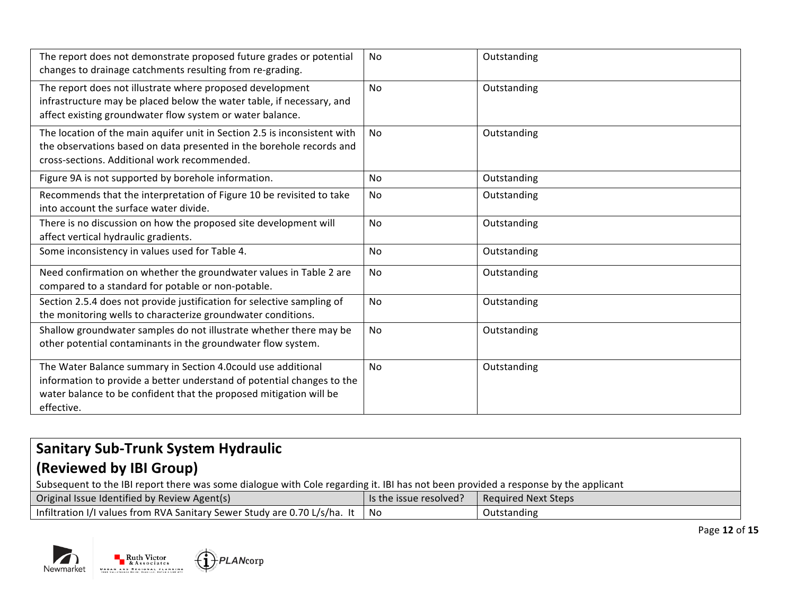| The report does not demonstrate proposed future grades or potential<br>changes to drainage catchments resulting from re-grading.                                                                                           | <b>No</b>      | Outstanding |
|----------------------------------------------------------------------------------------------------------------------------------------------------------------------------------------------------------------------------|----------------|-------------|
| The report does not illustrate where proposed development<br>infrastructure may be placed below the water table, if necessary, and<br>affect existing groundwater flow system or water balance.                            | No             | Outstanding |
| The location of the main aquifer unit in Section 2.5 is inconsistent with<br>the observations based on data presented in the borehole records and<br>cross-sections. Additional work recommended.                          | N <sub>0</sub> | Outstanding |
| Figure 9A is not supported by borehole information.                                                                                                                                                                        | No             | Outstanding |
| Recommends that the interpretation of Figure 10 be revisited to take<br>into account the surface water divide.                                                                                                             | No             | Outstanding |
| There is no discussion on how the proposed site development will<br>affect vertical hydraulic gradients.                                                                                                                   | No             | Outstanding |
| Some inconsistency in values used for Table 4.                                                                                                                                                                             | No             | Outstanding |
| Need confirmation on whether the groundwater values in Table 2 are<br>compared to a standard for potable or non-potable.                                                                                                   | No             | Outstanding |
| Section 2.5.4 does not provide justification for selective sampling of<br>the monitoring wells to characterize groundwater conditions.                                                                                     | No             | Outstanding |
| Shallow groundwater samples do not illustrate whether there may be<br>other potential contaminants in the groundwater flow system.                                                                                         | No             | Outstanding |
| The Water Balance summary in Section 4.0could use additional<br>information to provide a better understand of potential changes to the<br>water balance to be confident that the proposed mitigation will be<br>effective. | No             | Outstanding |

# **Sanitary Sub-Trunk System Hydraulic (Reviewed by IBI Group)**

Subsequent to the IBI report there was some dialogue with Cole regarding it. IBI has not been provided a response by the applicant

| Original Issue Identified by Review Agent(s)                              | $\blacksquare$ Is the issue resolved? $\blacksquare$ | Required Next Steps |
|---------------------------------------------------------------------------|------------------------------------------------------|---------------------|
| Infiltration I/I values from RVA Sanitary Sewer Study are 0.70 L/s/ha. It | No                                                   | Outstanding         |



Page **12** of **15**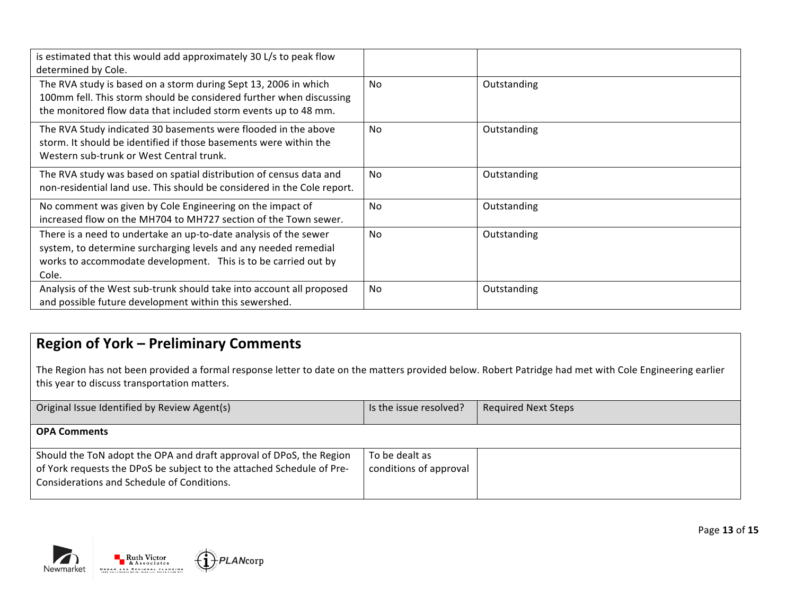| is estimated that this would add approximately 30 L/s to peak flow<br>determined by Cole.                                                                                                                      |           |             |
|----------------------------------------------------------------------------------------------------------------------------------------------------------------------------------------------------------------|-----------|-------------|
| The RVA study is based on a storm during Sept 13, 2006 in which<br>100mm fell. This storm should be considered further when discussing<br>the monitored flow data that included storm events up to 48 mm.      | <b>No</b> | Outstanding |
| The RVA Study indicated 30 basements were flooded in the above<br>storm. It should be identified if those basements were within the<br>Western sub-trunk or West Central trunk.                                | <b>No</b> | Outstanding |
| The RVA study was based on spatial distribution of census data and<br>non-residential land use. This should be considered in the Cole report.                                                                  | No        | Outstanding |
| No comment was given by Cole Engineering on the impact of<br>increased flow on the MH704 to MH727 section of the Town sewer.                                                                                   | No        | Outstanding |
| There is a need to undertake an up-to-date analysis of the sewer<br>system, to determine surcharging levels and any needed remedial<br>works to accommodate development. This is to be carried out by<br>Cole. | No        | Outstanding |
| Analysis of the West sub-trunk should take into account all proposed<br>and possible future development within this sewershed.                                                                                 | <b>No</b> | Outstanding |

### **Region of York - Preliminary Comments**

The Region has not been provided a formal response letter to date on the matters provided below. Robert Patridge had met with Cole Engineering earlier this year to discuss transportation matters.

| Original Issue Identified by Review Agent(s)                                                                                                                                               | Is the issue resolved?                   | <b>Required Next Steps</b> |
|--------------------------------------------------------------------------------------------------------------------------------------------------------------------------------------------|------------------------------------------|----------------------------|
| <b>OPA Comments</b>                                                                                                                                                                        |                                          |                            |
| Should the ToN adopt the OPA and draft approval of DPoS, the Region<br>of York requests the DPoS be subject to the attached Schedule of Pre-<br>Considerations and Schedule of Conditions. | To be dealt as<br>conditions of approval |                            |



PLANcorp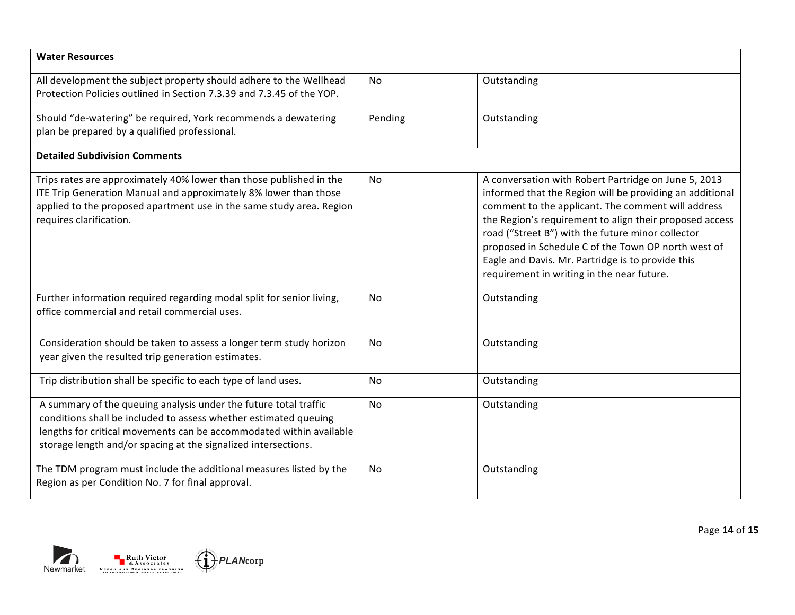| <b>Water Resources</b>                                                                                                                                                                                                                                                        |         |                                                                                                                                                                                                                                                                                                                                                                                                                                                  |
|-------------------------------------------------------------------------------------------------------------------------------------------------------------------------------------------------------------------------------------------------------------------------------|---------|--------------------------------------------------------------------------------------------------------------------------------------------------------------------------------------------------------------------------------------------------------------------------------------------------------------------------------------------------------------------------------------------------------------------------------------------------|
| All development the subject property should adhere to the Wellhead<br>Protection Policies outlined in Section 7.3.39 and 7.3.45 of the YOP.                                                                                                                                   | No      | Outstanding                                                                                                                                                                                                                                                                                                                                                                                                                                      |
| Should "de-watering" be required, York recommends a dewatering<br>plan be prepared by a qualified professional.                                                                                                                                                               | Pending | Outstanding                                                                                                                                                                                                                                                                                                                                                                                                                                      |
| <b>Detailed Subdivision Comments</b>                                                                                                                                                                                                                                          |         |                                                                                                                                                                                                                                                                                                                                                                                                                                                  |
| Trips rates are approximately 40% lower than those published in the<br>ITE Trip Generation Manual and approximately 8% lower than those<br>applied to the proposed apartment use in the same study area. Region<br>requires clarification.                                    | No.     | A conversation with Robert Partridge on June 5, 2013<br>informed that the Region will be providing an additional<br>comment to the applicant. The comment will address<br>the Region's requirement to align their proposed access<br>road ("Street B") with the future minor collector<br>proposed in Schedule C of the Town OP north west of<br>Eagle and Davis. Mr. Partridge is to provide this<br>requirement in writing in the near future. |
| Further information required regarding modal split for senior living,<br>office commercial and retail commercial uses.                                                                                                                                                        | No      | Outstanding                                                                                                                                                                                                                                                                                                                                                                                                                                      |
| Consideration should be taken to assess a longer term study horizon<br>year given the resulted trip generation estimates.                                                                                                                                                     | No      | Outstanding                                                                                                                                                                                                                                                                                                                                                                                                                                      |
| Trip distribution shall be specific to each type of land uses.                                                                                                                                                                                                                | No      | Outstanding                                                                                                                                                                                                                                                                                                                                                                                                                                      |
| A summary of the queuing analysis under the future total traffic<br>conditions shall be included to assess whether estimated queuing<br>lengths for critical movements can be accommodated within available<br>storage length and/or spacing at the signalized intersections. | No      | Outstanding                                                                                                                                                                                                                                                                                                                                                                                                                                      |
| The TDM program must include the additional measures listed by the<br>Region as per Condition No. 7 for final approval.                                                                                                                                                       | No      | Outstanding                                                                                                                                                                                                                                                                                                                                                                                                                                      |



Page **14** of **15**